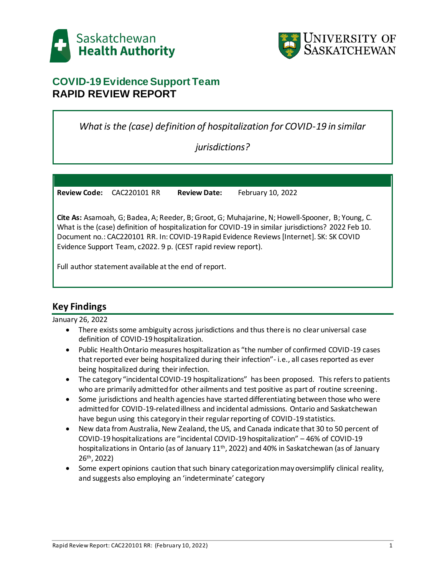



# **COVID-19 Evidence Support Team RAPID REVIEW REPORT**

*What is the (case) definition of hospitalization for COVID-19 in similar*

*jurisdictions?*

**Review Code:** CAC220101 RR **Review Date:** February 10, 2022

**Cite As:** Asamoah, G; Badea, A; Reeder, B; Groot, G; Muhajarine, N; Howell-Spooner, B; Young, C. What is the (case) definition of hospitalization for COVID-19 in similar jurisdictions? 2022 Feb 10. Document no.: CAC220101 RR. In: COVID-19 Rapid Evidence Reviews [Internet]. SK: SK COVID Evidence Support Team, c2022. 9 p. (CEST rapid review report).

Full author statement available at the end of report.

# **Key Findings**

January 26, 2022

- There exists some ambiguity across jurisdictions and thus there is no clear universal case definition of COVID-19 hospitalization.
- Public Health Ontario measures hospitalization as "the number of confirmed COVID-19 cases that reported ever being hospitalized during their infection"- i.e., all cases reported as ever being hospitalized during their infection.
- The category "incidental COVID-19 hospitalizations" has been proposed. This refers to patients who are primarily admitted for other ailments and test positive as part of routine screening.
- Some jurisdictions and health agencies have started differentiating between those who were admitted for COVID-19-related illness and incidental admissions. Ontario and Saskatchewan have begun using this category in their regular reporting of COVID-19 statistics.
- New data from Australia, New Zealand, the US, and Canada indicate that 30 to 50 percent of COVID-19 hospitalizations are "incidental COVID-19 hospitalization" – 46% of COVID-19 hospitalizations in Ontario (as of January 11<sup>th</sup>, 2022) and 40% in Saskatchewan (as of January 26th, 2022)
- Some expert opinions caution that such binary categorization may oversimplify clinical reality, and suggests also employing an 'indeterminate' category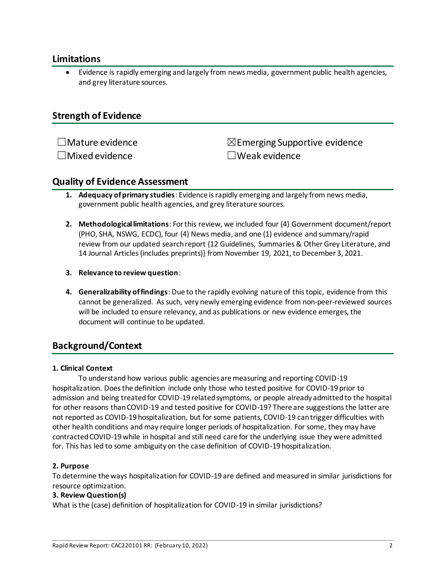## **Limitations**

 Evidence is rapidly emerging and largely from news media, government public health agencies, and grey literature sources.

## **Strength of Evidence**

 $\square$ Mature evidence  $\square$ Mature evidence ☐Mixed evidence ☐Weak evidence

## **Quality of Evidence Assessment**

- **1. Adequacy of primary studies**: Evidence is rapidly emerging and largely from news media, government public health agencies, and grey literature sources.
- **2. Methodological limitations**: For this review, we included four (4) Government document/report (PHO, SHA, NSWG, ECDC), four (4) News media, and one (1) evidence and summary/rapid review from our updated search report {12 Guidelines, Summaries & Other Grey Literature, and 14 Journal Articles (includes preprints)} from November 19, 2021, to December 3, 2021.

### **3. Relevance to review question**:

**4. Generalizability of findings**: Due to the rapidly evolving nature of this topic, evidence from this cannot be generalized. As such, very newly emerging evidence from non-peer-reviewed sources will be included to ensure relevancy, and as publications or new evidence emerges, the document will continue to be updated.

# **Background/Context**

#### **1. Clinical Context**

To understand how various public agencies are measuring and reporting COVID-19 hospitalization. Does the definition include only those who tested positive for COVID-19 prior to admission and being treated for COVID-19 related symptoms, or people already admitted to the hospital for other reasons than COVID-19 and tested positive for COVID-19? There are suggestions the latter are not reported as COVID-19 hospitalization, but for some patients, COVID-19 can trigger difficulties with other health conditions and may require longer periods of hospitalization. For some, they may have contracted COVID-19 while in hospital and still need care for the underlying issue they were admitted for. This has led to some ambiguity on the case definition of COVID-19 hospitalization.

#### **2. Purpose**

To determine the ways hospitalization for COVID-19 are defined and measured in similar jurisdictions for resource optimization.

#### **3. Review Question(s)**

What is the (case) definition of hospitalization for COVID-19 in similar jurisdictions?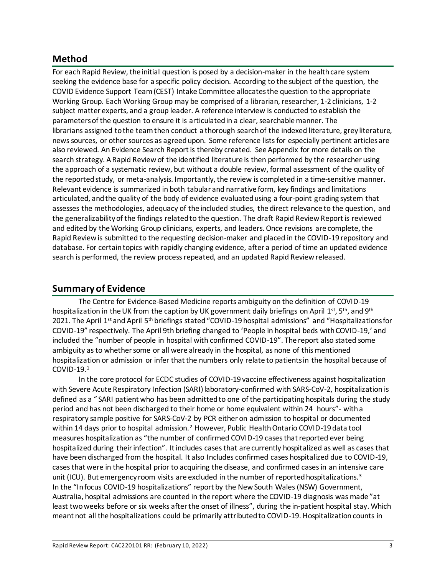# **Method**

For each Rapid Review, the initial question is posed by a decision-maker in the health care system seeking the evidence base for a specific policy decision. According to the subject of the question, the COVID Evidence Support Team (CEST) Intake Committee allocates the question to the appropriate Working Group. Each Working Group may be comprised of a librarian, researcher, 1-2 clinicians, 1-2 subject matter experts, and a group leader. A reference interview is conducted to establish the parameters of the question to ensure it is articulated in a clear, searchable manner. The librarians assigned to the team then conduct a thorough search of the indexed literature, grey literature, news sources, or other sources as agreed upon. Some reference lists for especially pertinent articles are also reviewed. An Evidence Search Report is thereby created. See Appendix for more details on the search strategy. A Rapid Review of the identified literature is then performed by the researcher using the approach of a systematic review, but without a double review, formal assessment of the quality of the reported study, or meta-analysis. Importantly, the review is completed in a time-sensitive manner. Relevant evidence is summarized in both tabular and narrative form, key findings and limitations articulated, and the quality of the body of evidence evaluated using a four-point grading system that assesses the methodologies, adequacy of the included studies, the direct relevance to the question, and the generalizability of the findings related to the question. The draft Rapid Review Report is reviewed and edited by the Working Group clinicians, experts, and leaders. Once revisions are complete, the Rapid Review is submitted to the requesting decision-maker and placed in the COVID-19 repository and database. For certain topics with rapidly changing evidence, after a period of time an updated evidence search is performed, the review process repeated, and an updated Rapid Review released.

# **Summary of Evidence**

The Centre for Evidence-Based Medicine reports ambiguity on the definition of COVID-19 hospitalization in the UK from the caption by UK government daily briefings on April 1st, 5th, and 9th 2021. The April 1<sup>st</sup> and April 5<sup>th</sup> briefings stated "COVID-19 hospital admissions" and "Hospitalizations for COVID-19" respectively. The April 9th briefing changed to 'People in hospital beds with COVID-19,' and included the "number of people in hospital with confirmed COVID-19". The report also stated some ambiguity as to whether some or all were already in the hospital, as none of this mentioned hospitalization or admission or infer that the numbers only relate to patients in the hospital because of COVID-19. 1

In the core protocol for ECDC studies of COVID-19 vaccine effectiveness against hospitalization with Severe Acute Respiratory Infection (SARI) laboratory-confirmed with SARS-CoV-2, hospitalization is defined as a " SARI patient who has been admitted to one of the participating hospitals during the study period and has not been discharged to their home or home equivalent within 24 hours"- with a respiratory sample positive for SARS-CoV-2 by PCR either on admission to hospital or documented within 14 days prior to hospital admission.<sup>2</sup> However, Public Health Ontario COVID-19 data tool measures hospitalization as "the number of confirmed COVID-19 casesthat reported ever being hospitalized during their infection". It includes casesthat are currently hospitalized as well as casesthat have been discharged from the hospital. It also Includes confirmed cases hospitalized due to COVID-19, casesthat were in the hospital prior to acquiring the disease, and confirmed cases in an intensive care unit (ICU). But emergency room visits are excluded in the number of reported hospitalizations.<sup>3</sup> In the "In focus COVID-19 hospitalizations" report by the New South Wales (NSW) Government, Australia, hospital admissions are counted in the report where the COVID-19 diagnosis was made "at least two weeks before or six weeks after the onset of illness", during the in-patient hospital stay. Which meant not all the hospitalizations could be primarily attributed to COVID-19. Hospitalization counts in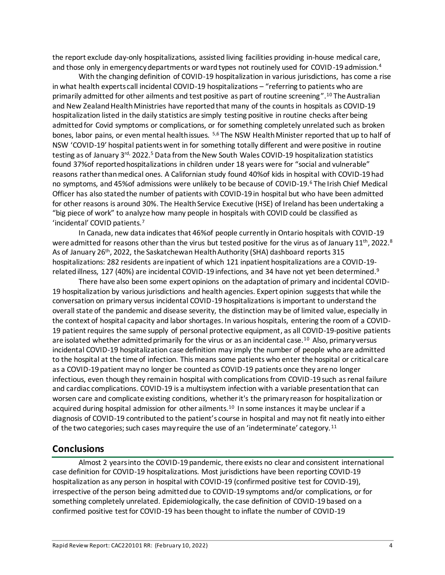the report exclude day-only hospitalizations, assisted living facilities providing in-house medical care, and those only in emergency departments or ward types not routinely used for COVID-19 admission. 4

With the changing definition of COVID-19 hospitalization in various jurisdictions, has come a rise in what health experts call incidental COVID-19 hospitalizations – "referring to patients who are primarily admitted for other ailments and test positive as part of routine screening". <sup>10</sup> The Australian and New Zealand Health Ministries have reported that many of the counts in hospitals as COVID-19 hospitalization listed in the daily statistics are simply testing positive in routine checks after being admitted for Covid symptoms or complications, or for something completely unrelated such as broken bones, labor pains, or even mental health issues. 5,6 The NSW Health Minister reported that up to half of NSW 'COVID-19' hospital patients went in for something totally different and were positive in routine testing as of January 3rd, 2022.<sup>5</sup> Data from the New South Wales COVID-19 hospitalization statistics found 37%of reported hospitalizations in children under 18 years were for "social and vulnerable" reasons rather than medical ones. A Californian study found 40%of kids in hospital with COVID-19 had no symptoms, and 45%of admissions were unlikely to be because of COVID-19. <sup>6</sup> The Irish Chief Medical Officer has also stated the number of patients with COVID-19 in hospital but who have been admitted for other reasons is around 30%. The Health Service Executive (HSE) of Ireland has been undertaking a "big piece of work" to analyze how many people in hospitals with COVID could be classified as 'incidental' COVID patients.<sup>7</sup>

In Canada, new data indicates that 46%of people currently in Ontario hospitals with COVID-19 were admitted for reasons other than the virus but tested positive for the virus as of January 11<sup>th</sup>, 2022.<sup>8</sup> As of January 26th, 2022, the Saskatchewan Health Authority (SHA) dashboard reports 315 hospitalizations: 282 residents are inpatient of which 121 inpatient hospitalizations are a COVID-19 related illness, 127 (40%) are incidental COVID-19 infections, and 34 have not yet been determined.<sup>9</sup>

There have also been some expert opinions on the adaptation of primary and incidental COVID-19 hospitalization by various jurisdictions and health agencies. Expert opinion suggests that while the conversation on primary versus incidental COVID-19 hospitalizations is important to understand the overall state of the pandemic and disease severity, the distinction may be of limited value, especially in the context of hospital capacity and labor shortages. In various hospitals, entering the room of a COVID-19 patient requires the same supply of personal protective equipment, as all COVID-19-positive patients are isolated whether admitted primarily for the virus or as an incidental case.<sup>10</sup> Also, primary versus incidental COVID-19 hospitalization case definition may imply the number of people who are admitted to the hospital at the time of infection. This means some patients who enter the hospital or critical care as a COVID-19 patient may no longer be counted as COVID-19 patients once they are no longer infectious, even though they remain in hospital with complications from COVID-19 such as renal failure and cardiac complications. COVID-19 is a multisystem infection with a variable presentation that can worsen care and complicate existing conditions, whether it's the primary reason for hospitalization or acquired during hospital admission for other ailments.<sup>10</sup> In some instances it may be unclear if a diagnosis of COVID-19 contributed to the patient's course in hospital and may not fit neatly into either of the two categories; such cases may require the use of an 'indeterminate' category. <sup>11</sup>

### **Conclusions**

Almost 2 years into the COVID-19 pandemic, there exists no clear and consistent international case definition for COVID-19 hospitalizations. Most jurisdictions have been reporting COVID-19 hospitalization as any person in hospital with COVID-19 (confirmed positive test for COVID-19), irrespective of the person being admitted due to COVID-19 symptoms and/or complications, or for something completely unrelated. Epidemiologically, the case definition of COVID-19 based on a confirmed positive test for COVID-19 has been thought to inflate the number of COVID-19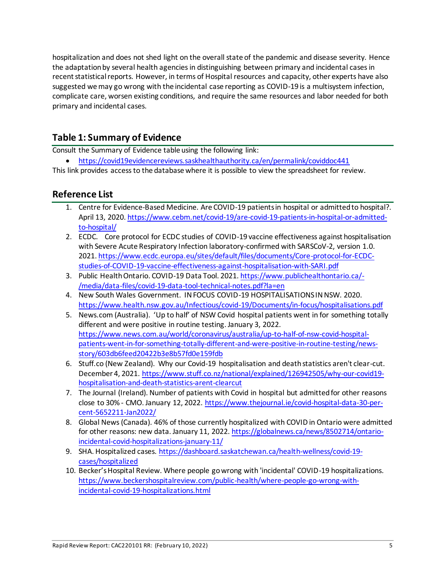hospitalization and does not shed light on the overall state of the pandemic and disease severity. Hence the adaptation by several health agencies in distinguishing between primary and incidental cases in recent statistical reports. However, in terms of Hospital resources and capacity, other experts have also suggested we may go wrong with the incidental case reporting as COVID-19 is a multisystem infection, complicate care, worsen existing conditions, and require the same resources and labor needed for both primary and incidental cases.

# **Table 1: Summary of Evidence**

Consult the Summary of Evidence table using the following link:

<https://covid19evidencereviews.saskhealthauthority.ca/en/permalink/coviddoc441>

This link provides access to the database where it is possible to view the spreadsheet for review.

## **Reference List**

- 1. Centre for Evidence-Based Medicine. Are COVID-19 patients in hospital or admitted to hospital?. April 13, 2020[. https://www.cebm.net/covid-19/are-covid-19-patients-in-hospital-or-admitted](https://www.cebm.net/covid-19/are-covid-19-patients-in-hospital-or-admitted-to-hospital/)[to-hospital/](https://www.cebm.net/covid-19/are-covid-19-patients-in-hospital-or-admitted-to-hospital/)
- 2. ECDC. Core protocol for ECDC studies of COVID-19 vaccine effectiveness against hospitalisation with Severe Acute Respiratory Infection laboratory-confirmed with SARSCoV-2, version 1.0. 2021[. https://www.ecdc.europa.eu/sites/default/files/documents/Core-protocol-for-ECDC](https://www.ecdc.europa.eu/sites/default/files/documents/Core-protocol-for-ECDC-studies-of-COVID-19-vaccine-effectiveness-against-hospitalisation-with-SARI.pdf)[studies-of-COVID-19-vaccine-effectiveness-against-hospitalisation-with-SARI.pdf](https://www.ecdc.europa.eu/sites/default/files/documents/Core-protocol-for-ECDC-studies-of-COVID-19-vaccine-effectiveness-against-hospitalisation-with-SARI.pdf)
- 3. Public Health Ontario. COVID-19 Data Tool. 2021[. https://www.publichealthontario.ca/-](https://www.publichealthontario.ca/-/media/data-files/covid-19-data-tool-technical-notes.pdf?la=en) [/media/data-files/covid-19-data-tool-technical-notes.pdf?la=en](https://www.publichealthontario.ca/-/media/data-files/covid-19-data-tool-technical-notes.pdf?la=en)
- 4. New South Wales Government. IN FOCUS COVID-19 HOSPITALISATIONS IN NSW. 2020. <https://www.health.nsw.gov.au/Infectious/covid-19/Documents/in-focus/hospitalisations.pdf>
- 5. News.com (Australia). 'Up to half' of NSW Covid hospital patients went in for something totally different and were positive in routine testing. January 3, 2022. [https://www.news.com.au/world/coronavirus/australia/up-to-half-of-nsw-covid-hospital](https://www.news.com.au/world/coronavirus/australia/up-to-half-of-nsw-covid-hospital-patients-went-in-for-something-totally-different-and-were-positive-in-routine-testing/news-story/603db6feed20422b3e8b57fd0e159fdb)[patients-went-in-for-something-totally-different-and-were-positive-in-routine-testing/news](https://www.news.com.au/world/coronavirus/australia/up-to-half-of-nsw-covid-hospital-patients-went-in-for-something-totally-different-and-were-positive-in-routine-testing/news-story/603db6feed20422b3e8b57fd0e159fdb)[story/603db6feed20422b3e8b57fd0e159fdb](https://www.news.com.au/world/coronavirus/australia/up-to-half-of-nsw-covid-hospital-patients-went-in-for-something-totally-different-and-were-positive-in-routine-testing/news-story/603db6feed20422b3e8b57fd0e159fdb)
- 6. Stuff.co (New Zealand). Why our Covid-19 hospitalisation and death statistics aren't clear-cut. December 4, 2021. [https://www.stuff.co.nz/national/explained/126942505/why-our-covid19](https://www.stuff.co.nz/national/explained/126942505/why-our-covid19-hospitalisation-and-death-statistics-arent-clearcut) [hospitalisation-and-death-statistics-arent-clearcut](https://www.stuff.co.nz/national/explained/126942505/why-our-covid19-hospitalisation-and-death-statistics-arent-clearcut)
- 7. The Journal (Ireland). Number of patients with Covid in hospital but admitted for other reasons close to 30% - CMO. January 12, 2022[. https://www.thejournal.ie/covid-hospital-data-30-per](https://www.thejournal.ie/covid-hospital-data-30-per-cent-5652211-Jan2022/)[cent-5652211-Jan2022/](https://www.thejournal.ie/covid-hospital-data-30-per-cent-5652211-Jan2022/)
- 8. Global News (Canada). 46% of those currently hospitalized with COVID in Ontario were admitted for other reasons: new data. January 11, 2022[. https://globalnews.ca/news/8502714/ontario](https://globalnews.ca/news/8502714/ontario-incidental-covid-hospitalizations-january-11/)[incidental-covid-hospitalizations-january-11/](https://globalnews.ca/news/8502714/ontario-incidental-covid-hospitalizations-january-11/)
- 9. SHA. Hospitalized cases. [https://dashboard.saskatchewan.ca/health-wellness/covid-19](https://dashboard.saskatchewan.ca/health-wellness/covid-19-cases/hospitalized) [cases/hospitalized](https://dashboard.saskatchewan.ca/health-wellness/covid-19-cases/hospitalized)
- 10. Becker's Hospital Review. Where people go wrong with 'incidental' COVID-19 hospitalizations. [https://www.beckershospitalreview.com/public-health/where-people-go-wrong-with](https://www.beckershospitalreview.com/public-health/where-people-go-wrong-with-incidental-covid-19-hospitalizations.html)[incidental-covid-19-hospitalizations.html](https://www.beckershospitalreview.com/public-health/where-people-go-wrong-with-incidental-covid-19-hospitalizations.html)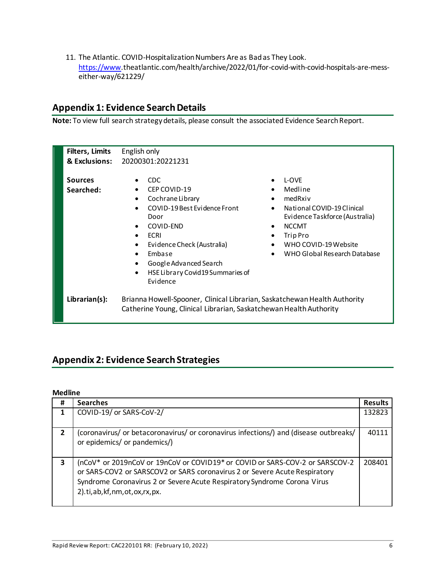11. The Atlantic. COVID-Hospitalization Numbers Are as Bad as They Look. [https://www.](https://www/)theatlantic.com/health/archive/2022/01/for-covid-with-covid-hospitals-are-messeither-way/621229/

## **Appendix 1: Evidence Search Details**

**Note:** To view full search strategy details, please consult the associated Evidence Search Report.

| <b>Filters, Limits</b>      | English only                                                                                                                                                                                                                                        |                        |                                                                                                                                                                                 |
|-----------------------------|-----------------------------------------------------------------------------------------------------------------------------------------------------------------------------------------------------------------------------------------------------|------------------------|---------------------------------------------------------------------------------------------------------------------------------------------------------------------------------|
| & Exclusions:               | 20200301:20221231                                                                                                                                                                                                                                   |                        |                                                                                                                                                                                 |
|                             |                                                                                                                                                                                                                                                     |                        |                                                                                                                                                                                 |
| <b>Sources</b><br>Searched: | <b>CDC</b><br>$\bullet$<br>CEP COVID-19<br>Cochrane Library<br>COVID-19 Best Evidence Front<br>Door<br>COVID-END<br>$\bullet$<br>ECRI<br>$\bullet$<br>Evidence Check (Australia)<br>Embase<br>$\bullet$                                             | $\bullet$<br>$\bullet$ | L-OVE<br>Medline<br>medRxiv<br>National COVID-19 Clinical<br>Evidence Taskforce (Australia)<br><b>NCCMT</b><br>Trip Pro<br>WHO COVID-19 Website<br>WHO Global Research Database |
| Librarian(s):               | Google Advanced Search<br>$\bullet$<br>HSE Library Covid19 Summaries of<br>$\bullet$<br>Evidence<br>Brianna Howell-Spooner, Clinical Librarian, Saskatchewan Health Authority<br>Catherine Young, Clinical Librarian, Saskatchewan Health Authority |                        |                                                                                                                                                                                 |

## **Appendix 2: Evidence Search Strategies**

### **Medline**

| #              | <b>Searches</b>                                                                                                                                                                                                                                                              | <b>Results</b> |
|----------------|------------------------------------------------------------------------------------------------------------------------------------------------------------------------------------------------------------------------------------------------------------------------------|----------------|
|                | COVID-19/ or SARS-CoV-2/                                                                                                                                                                                                                                                     | 132823         |
| $\overline{2}$ | (coronavirus/ or betacoronavirus/ or coronavirus infections/) and (disease outbreaks/<br>or epidemics/ or pandemics/)                                                                                                                                                        | 40111          |
| 3              | (nCoV* or 2019nCoV or 19nCoV or COVID19* or COVID or SARS-COV-2 or SARSCOV-2<br>or SARS-COV2 or SARSCOV2 or SARS coronavirus 2 or Severe Acute Respiratory<br>Syndrome Coronavirus 2 or Severe Acute Respiratory Syndrome Corona Virus<br>2).ti, ab, kf, nm, ot, ox, rx, px. | 208401         |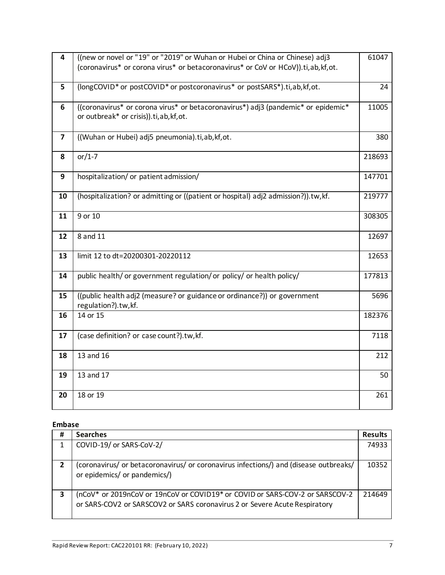| $\overline{\mathbf{4}}$ | ((new or novel or "19" or "2019" or Wuhan or Hubei or China or Chinese) adj3                                              | 61047  |
|-------------------------|---------------------------------------------------------------------------------------------------------------------------|--------|
|                         | (coronavirus* or corona virus* or betacoronavirus* or CoV or HCoV)).ti,ab,kf,ot.                                          |        |
|                         |                                                                                                                           |        |
| 5                       | (longCOVID <sup>*</sup> or postCOVID <sup>*</sup> or postcoronavirus <sup>*</sup> or postSARS <sup>*</sup> ).ti,ab,kf,ot. | 24     |
| 6                       | ((coronavirus* or corona virus* or betacoronavirus*) adj3 (pandemic* or epidemic*                                         | 11005  |
|                         | or outbreak* or crisis)).ti, ab, kf, ot.                                                                                  |        |
| $\overline{\mathbf{z}}$ | ((Wuhan or Hubei) adj5 pneumonia).ti,ab, kf, ot.                                                                          | 380    |
| 8                       | or/1-7                                                                                                                    | 218693 |
|                         |                                                                                                                           |        |
| 9                       | hospitalization/ or patient admission/                                                                                    | 147701 |
|                         |                                                                                                                           |        |
| 10                      | (hospitalization? or admitting or ((patient or hospital) adj2 admission?)).tw,kf.                                         | 219777 |
| 11                      | 9 or 10                                                                                                                   | 308305 |
|                         |                                                                                                                           |        |
| 12                      | 8 and 11                                                                                                                  | 12697  |
|                         |                                                                                                                           |        |
| 13                      | limit 12 to dt=20200301-20220112                                                                                          | 12653  |
|                         |                                                                                                                           |        |
| 14                      | public health/ or government regulation/ or policy/ or health policy/                                                     | 177813 |
| 15                      | ((public health adj2 (measure? or guidance or ordinance?)) or government                                                  | 5696   |
|                         | regulation?).tw,kf.                                                                                                       |        |
| 16                      | 14 or 15                                                                                                                  | 182376 |
|                         |                                                                                                                           |        |
| 17                      | (case definition? or case count?).tw,kf.                                                                                  | 7118   |
| 18                      | 13 and 16                                                                                                                 | 212    |
|                         |                                                                                                                           |        |
| 19                      | 13 and 17                                                                                                                 | 50     |
|                         |                                                                                                                           |        |
| 20                      | 18 or 19                                                                                                                  | 261    |
|                         |                                                                                                                           |        |

### **Embase**

| #              | <b>Searches</b>                                                                                                                                            | <b>Results</b> |
|----------------|------------------------------------------------------------------------------------------------------------------------------------------------------------|----------------|
|                | COVID-19/ or SARS-CoV-2/                                                                                                                                   | 74933          |
|                |                                                                                                                                                            |                |
| $\overline{2}$ | (coronavirus/ or betacoronavirus/ or coronavirus infections/) and (disease outbreaks/<br>or epidemics/ or pandemics/)                                      | 10352          |
| 3              | (nCoV* or 2019nCoV or 19nCoV or COVID19* or COVID or SARS-COV-2 or SARSCOV-2<br>or SARS-COV2 or SARSCOV2 or SARS coronavirus 2 or Severe Acute Respiratory | 214649         |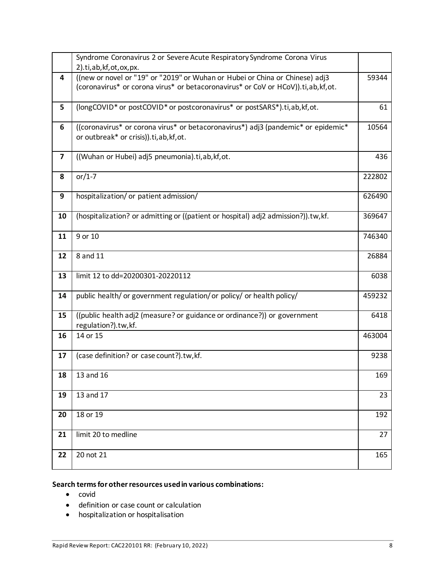|                         | Syndrome Coronavirus 2 or Severe Acute Respiratory Syndrome Corona Virus<br>2).ti, ab, kf, ot, ox, px.                                                              |        |
|-------------------------|---------------------------------------------------------------------------------------------------------------------------------------------------------------------|--------|
| 4                       | ((new or novel or "19" or "2019" or Wuhan or Hubei or China or Chinese) adj3<br>(coronavirus* or corona virus* or betacoronavirus* or CoV or HCoV)).ti, ab, kf, ot. | 59344  |
| 5                       | (longCOVID* or postCOVID* or postcoronavirus* or postSARS*).ti,ab,kf,ot.                                                                                            | 61     |
| 6                       | ((coronavirus* or corona virus* or betacoronavirus*) adj3 (pandemic* or epidemic*<br>or outbreak* or crisis)).ti, ab, kf, ot.                                       | 10564  |
| $\overline{\mathbf{z}}$ | ((Wuhan or Hubei) adj5 pneumonia).ti,ab, kf, ot.                                                                                                                    | 436    |
| 8                       | or/1-7                                                                                                                                                              | 222802 |
| 9                       | hospitalization/ or patient admission/                                                                                                                              | 626490 |
| 10                      | (hospitalization? or admitting or ((patient or hospital) adj2 admission?)).tw, kf.                                                                                  | 369647 |
| 11                      | 9 or 10                                                                                                                                                             | 746340 |
| 12                      | 8 and 11                                                                                                                                                            | 26884  |
| 13                      | limit 12 to dd=20200301-20220112                                                                                                                                    | 6038   |
| 14                      | public health/ or government regulation/ or policy/ or health policy/                                                                                               | 459232 |
| 15                      | ((public health adj2 (measure? or guidance or ordinance?)) or government<br>regulation?).tw,kf.                                                                     | 6418   |
| 16                      | 14 or 15                                                                                                                                                            | 463004 |
| 17                      | (case definition? or case count?).tw,kf.                                                                                                                            | 9238   |
| 18                      | 13 and 16                                                                                                                                                           | 169    |
| 19                      | 13 and 17                                                                                                                                                           | 23     |
| 20                      | 18 or 19                                                                                                                                                            | 192    |
| 21                      | limit 20 to medline                                                                                                                                                 | 27     |
| 22                      | 20 not 21                                                                                                                                                           | 165    |

### **Search terms for other resources used in various combinations:**

- covid
- definition or case count or calculation
- hospitalization or hospitalisation